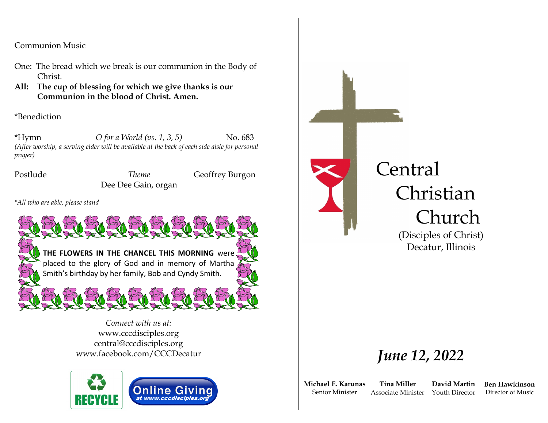Communion Music

- One: The bread which we break is our communion in the Body of Christ.
- **All: The cup of blessing for which we give thanks is our Communion in the blood of Christ. Amen.**

\*Benediction

\*Hymn *O for a World (vs. 1, 3, 5)* No. 683 *(After worship, a serving elder will be available at the back of each side aisle for personal prayer)*

Postlude *Theme* Geoffrey Burgon Dee Dee Gain, organ

*\*All who are able, please stand*



*Connect with us at:* www.cccdisciples.org central@cccdisciples.org www.facebook.com/CCCDecatur



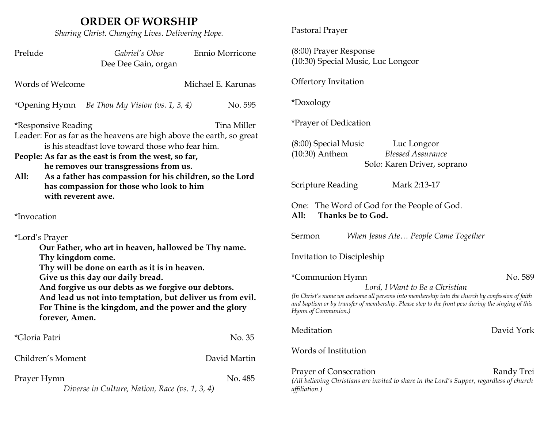## **ORDER OF WORSHIP**

*Sharing Christ. Changing Lives. Delivering Hope.*

| Prelude                                                                                                                                                                                                                                                                                                                                                                                 | Gabriel's Oboe<br>Dee Dee Gain, organ          | Ennio Morricone    | (8:00) Prayer Response<br>(10:30) Special Music, Luc Longcor                                                                                                                                                                |            |
|-----------------------------------------------------------------------------------------------------------------------------------------------------------------------------------------------------------------------------------------------------------------------------------------------------------------------------------------------------------------------------------------|------------------------------------------------|--------------------|-----------------------------------------------------------------------------------------------------------------------------------------------------------------------------------------------------------------------------|------------|
| Words of Welcome                                                                                                                                                                                                                                                                                                                                                                        |                                                | Michael E. Karunas | Offertory Invitation                                                                                                                                                                                                        |            |
|                                                                                                                                                                                                                                                                                                                                                                                         | *Opening Hymn Be Thou My Vision (vs. 1, 3, 4)  | No. 595            | *Doxology                                                                                                                                                                                                                   |            |
| Tina Miller<br><i>*Responsive Reading</i><br>Leader: For as far as the heavens are high above the earth, so great<br>is his steadfast love toward those who fear him.<br>People: As far as the east is from the west, so far,<br>he removes our transgressions from us.<br>As a father has compassion for his children, so the Lord<br>All:<br>has compassion for those who look to him |                                                |                    | <i>*Prayer of Dedication</i>                                                                                                                                                                                                |            |
|                                                                                                                                                                                                                                                                                                                                                                                         |                                                |                    | $(8:00)$ Special Music<br>Luc Longcor<br>$(10:30)$ Anthem<br><b>Blessed Assurance</b><br>Solo: Karen Driver, soprano<br><b>Scripture Reading</b><br>Mark 2:13-17                                                            |            |
| with reverent awe.                                                                                                                                                                                                                                                                                                                                                                      |                                                |                    | One: The Word of God for the People of God.                                                                                                                                                                                 |            |
| *Invocation                                                                                                                                                                                                                                                                                                                                                                             |                                                |                    | All:<br>Thanks be to God.                                                                                                                                                                                                   |            |
| *Lord's Prayer                                                                                                                                                                                                                                                                                                                                                                          |                                                |                    | Sermon<br>When Jesus Ate People Came Together                                                                                                                                                                               |            |
| Our Father, who art in heaven, hallowed be Thy name.<br>Thy kingdom come.                                                                                                                                                                                                                                                                                                               |                                                |                    | Invitation to Discipleship                                                                                                                                                                                                  |            |
| Thy will be done on earth as it is in heaven.<br>Give us this day our daily bread.<br>And forgive us our debts as we forgive our debtors.<br>And lead us not into temptation, but deliver us from evil.<br>For Thine is the kingdom, and the power and the glory<br>forever, Amen.                                                                                                      |                                                |                    | *Communion Hymn<br>Lord, I Want to Be a Christian                                                                                                                                                                           | No. 589    |
|                                                                                                                                                                                                                                                                                                                                                                                         |                                                |                    | (In Christ's name we welcome all persons into membership into the church by confession of faith<br>and baptism or by transfer of membership. Please step to the front pew during the singing of this<br>Hymn of Communion.) |            |
| *Gloria Patri                                                                                                                                                                                                                                                                                                                                                                           |                                                | No. 35             | Meditation                                                                                                                                                                                                                  | David York |
| Children's Moment                                                                                                                                                                                                                                                                                                                                                                       |                                                | David Martin       | Words of Institution                                                                                                                                                                                                        |            |
| Prayer Hymn                                                                                                                                                                                                                                                                                                                                                                             | Diverse in Culture, Nation, Race (vs. 1, 3, 4) | No. 485            | Prayer of Consecration<br>(All believing Christians are invited to share in the Lord's Supper, regardless of church<br>affiliation.)                                                                                        | Randy Trei |

Pastoral Prayer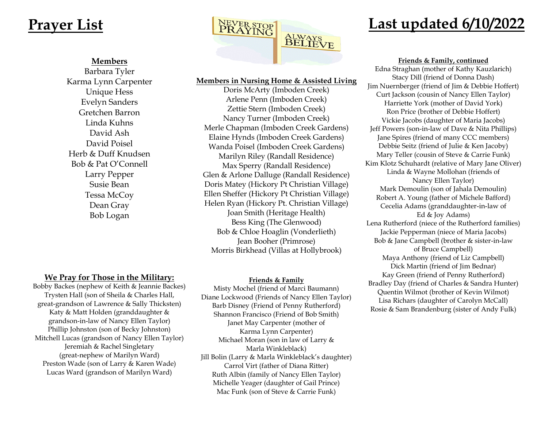#### **Members**

Barbara Tyler Karma Lynn Carpenter Unique Hess Evelyn Sanders Gretchen Barron Linda Kuhns David Ash David Poisel Herb & Duff Knudsen Bob & Pat O'Connell Larry Pepper Susie Bean Tessa McCoy Dean Gray Bob Logan

**We Pray for Those in the Military:** Bobby Backes (nephew of Keith & Jeannie Backes) Trysten Hall (son of Sheila & Charles Hall, great-grandson of Lawrence & Sally Thicksten) Katy & Matt Holden (granddaughter & grandson-in-law of Nancy Ellen Taylor) Phillip Johnston (son of Becky Johnston) Mitchell Lucas (grandson of Nancy Ellen Taylor) Jeremiah & Rachel Singletary (great-nephew of Marilyn Ward) Preston Wade (son of Larry & Karen Wade) Lucas Ward (grandson of Marilyn Ward)



#### **Members in Nursing Home & Assisted Living**

Doris McArty (Imboden Creek) Arlene Penn (Imboden Creek) Zettie Stern (Imboden Creek) Nancy Turner (Imboden Creek) Merle Chapman (Imboden Creek Gardens) Elaine Hynds (Imboden Creek Gardens) Wanda Poisel (Imboden Creek Gardens) Marilyn Riley (Randall Residence) Max Sperry (Randall Residence) Glen & Arlone Dalluge (Randall Residence) Doris Matey (Hickory Pt Christian Village) Ellen Sheffer (Hickory Pt Christian Village) Helen Ryan (Hickory Pt. Christian Village) Joan Smith (Heritage Health) Bess King (The Glenwood) Bob & Chloe Hoaglin (Vonderlieth) Jean Booher (Primrose) Morris Birkhead (Villas at Hollybrook)

#### **Friends & Family**

Misty Mochel (friend of Marci Baumann) Diane Lockwood (Friends of Nancy Ellen Taylor) Barb Disney (Friend of Penny Rutherford) Shannon Francisco (Friend of Bob Smith) Janet May Carpenter (mother of Karma Lynn Carpenter) Michael Moran (son in law of Larry & Marla Winkleblack) Jill Bolin (Larry & Marla Winkleblack's daughter) Carrol Virt (father of Diana Ritter) Ruth Albin (family of Nancy Ellen Taylor) Michelle Yeager (daughter of Gail Prince) Mac Funk (son of Steve & Carrie Funk)

**Friends & Family, continued**

Edna Straghan (mother of Kathy Kauzlarich) Stacy Dill (friend of Donna Dash) Jim Nuernberger (friend of Jim & Debbie Hoffert) Curt Jackson (cousin of Nancy Ellen Taylor) Harriette York (mother of David York) Ron Price (brother of Debbie Hoffert) Vickie Jacobs (daughter of Maria Jacobs) Jeff Powers (son-in-law of Dave & Nita Phillips) Jane Spires (friend of many CCC members) Debbie Seitz (friend of Julie & Ken Jacoby) Mary Teller (cousin of Steve & Carrie Funk) Kim Klotz Schuhardt (relative of Mary Jane Oliver) Linda & Wayne Mollohan (friends of Nancy Ellen Taylor) Mark Demoulin (son of Jahala Demoulin) Robert A. Young (father of Michele Bafford) Cecelia Adams (granddaughter-in-law of Ed & Joy Adams) Lena Rutherford (niece of the Rutherford families) Jackie Pepperman (niece of Maria Jacobs) Bob & Jane Campbell (brother & sister-in-law of Bruce Campbell) Maya Anthony (friend of Liz Campbell) Dick Martin (friend of Jim Bednar) Kay Green (friend of Penny Rutherford) Bradley Day (friend of Charles & Sandra Hunter) Quentin Wilmot (brother of Kevin Wilmot) Lisa Richars (daughter of Carolyn McCall) Rosie & Sam Brandenburg (sister of Andy Fulk)